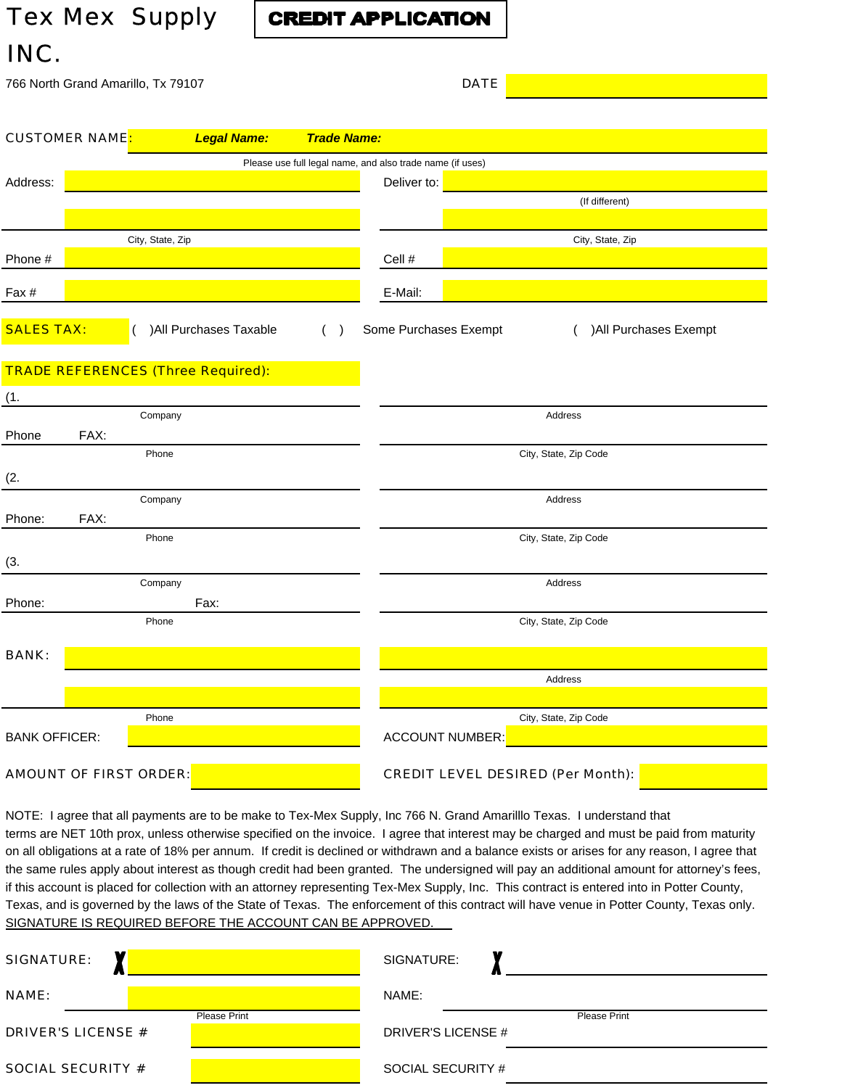## *Tex Mex Supply INC.*

**CREDIT APPLICATION** 

|                               |                                    | 766 North Grand Amarillo, Tx 79107        |                                                           |                                          | <b>DATE</b> |                        |
|-------------------------------|------------------------------------|-------------------------------------------|-----------------------------------------------------------|------------------------------------------|-------------|------------------------|
|                               |                                    |                                           |                                                           |                                          |             |                        |
|                               | <b>CUSTOMER NAME<mark>:</mark></b> | <b>Legal Name:</b>                        | <b>Trade Name:</b>                                        |                                          |             |                        |
|                               |                                    |                                           | Please use full legal name, and also trade name (if uses) |                                          |             |                        |
| Address:                      |                                    |                                           |                                                           | Deliver to:                              |             |                        |
|                               |                                    |                                           |                                                           |                                          |             | (If different)         |
|                               |                                    |                                           |                                                           |                                          |             |                        |
|                               |                                    | City, State, Zip                          |                                                           |                                          |             | City, State, Zip       |
| Phone #                       |                                    |                                           |                                                           | Cell #                                   |             |                        |
| Fax #                         |                                    |                                           |                                                           | E-Mail:                                  |             |                        |
| <b>SALES TAX:</b>             |                                    | ) All Purchases Taxable                   | ( )                                                       | Some Purchases Exempt                    |             | ) All Purchases Exempt |
|                               |                                    | <b>TRADE REFERENCES (Three Required):</b> |                                                           |                                          |             |                        |
| (1.                           |                                    |                                           |                                                           |                                          |             |                        |
|                               |                                    | Company                                   |                                                           |                                          |             | Address                |
| Phone                         | FAX:                               |                                           |                                                           |                                          |             |                        |
|                               |                                    | Phone                                     |                                                           |                                          |             | City, State, Zip Code  |
| (2.                           |                                    |                                           |                                                           |                                          |             |                        |
|                               |                                    | Company                                   |                                                           |                                          |             | Address                |
| Phone:                        | FAX:                               |                                           |                                                           |                                          |             |                        |
|                               |                                    | Phone                                     |                                                           |                                          |             | City, State, Zip Code  |
| (3.                           |                                    |                                           |                                                           |                                          |             |                        |
|                               |                                    | Company                                   |                                                           |                                          |             | Address                |
| Phone:                        |                                    | Fax:                                      |                                                           |                                          |             |                        |
|                               |                                    | Phone                                     |                                                           |                                          |             | City, State, Zip Code  |
| <b>BANK:</b>                  |                                    |                                           |                                                           |                                          |             |                        |
|                               |                                    |                                           |                                                           |                                          |             | Address                |
|                               |                                    |                                           |                                                           |                                          |             |                        |
|                               |                                    | Phone                                     |                                                           |                                          |             | City, State, Zip Code  |
| <b>BANK OFFICER:</b>          |                                    |                                           |                                                           | <b>ACCOUNT NUMBER:</b>                   |             |                        |
| <b>AMOUNT OF FIRST ORDER:</b> |                                    |                                           |                                                           | <b>CREDIT LEVEL DESIRED (Per Month):</b> |             |                        |

NOTE: I agree that all payments are to be make to Tex-Mex Supply, Inc 766 N. Grand Amarilllo Texas. I understand that terms are NET 10th prox, unless otherwise specified on the invoice. I agree that interest may be charged and must be paid from maturity on all obligations at a rate of 18% per annum. If credit is declined or withdrawn and a balance exists or arises for any reason, I agree that the same rules apply about interest as though credit had been granted. The undersigned will pay an additional amount for attorney's fees, if this account is placed for collection with an attorney representing Tex-Mex Supply, Inc. This contract is entered into in Potter County, Texas, and is governed by the laws of the State of Texas. The enforcement of this contract will have venue in Potter County, Texas only. SIGNATURE IS REQUIRED BEFORE THE ACCOUNT CAN BE APPROVED.

| <b>SIGNATURE:</b>                         | SIGNATURE:                         |
|-------------------------------------------|------------------------------------|
| <b>NAME:</b>                              | NAME:                              |
| Please Print<br><b>DRIVER'S LICENSE #</b> | Please Print<br>DRIVER'S LICENSE # |
| <b>SOCIAL SECURITY #</b>                  | SOCIAL SECURITY #                  |